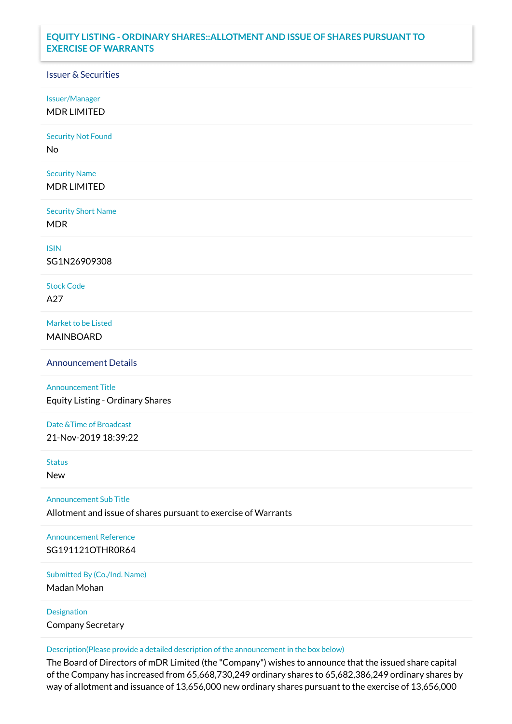## **EQUITY LISTING - ORDINARY SHARES::ALLOTMENT AND ISSUE OF SHARES PURSUANT TO EXERCISE OF WARRANTS**

## Issuer & Securities

Issuer/Manager

MDR LIMITED

Security Not Found

No

Security Name MDR LIMITED

Security Short Name MDR

ISIN

SG1N26909308

Stock Code A27

Market to be Listed MAINBOARD

Announcement Details

Announcement Title Equity Listing - Ordinary Shares

Date &Time of Broadcast 21-Nov-2019 18:39:22

Status

New

Announcement Sub Title

Allotment and issue of shares pursuant to exercise of Warrants

Announcement Reference SG191121OTHR0R64

Submitted By (Co./Ind. Name)

Madan Mohan

Designation Company Secretary

Description(Please provide a detailed description of the announcement in the box below)

The Board of Directors of mDR Limited (the "Company") wishes to announce that the issued share capital of the Company has increased from 65,668,730,249 ordinary shares to 65,682,386,249 ordinary shares by way of allotment and issuance of 13,656,000 new ordinary shares pursuant to the exercise of 13,656,000